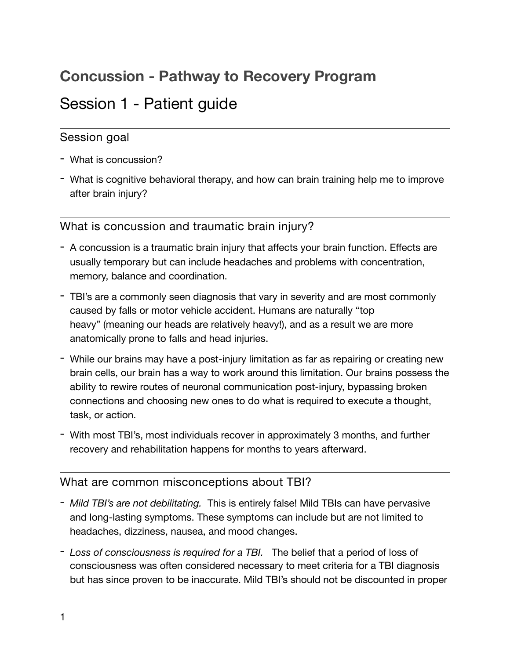# **Concussion - Pathway to Recovery Program**

## Session 1 - Patient guide

### Session goal

- What is concussion?
- What is cognitive behavioral therapy, and how can brain training help me to improve after brain injury?

What is concussion and traumatic brain injury?

- A concussion is a traumatic brain injury that affects your brain function. Effects are usually temporary but can include headaches and problems with concentration, memory, balance and coordination.
- TBI's are a commonly seen diagnosis that vary in severity and are most commonly caused by falls or motor vehicle accident. Humans are naturally "top heavy" (meaning our heads are relatively heavy!), and as a result we are more anatomically prone to falls and head injuries.
- While our brains may have a post-injury limitation as far as repairing or creating new brain cells, our brain has a way to work around this limitation. Our brains possess the ability to rewire routes of neuronal communication post-injury, bypassing broken connections and choosing new ones to do what is required to execute a thought, task, or action.
- With most TBI's, most individuals recover in approximately 3 months, and further recovery and rehabilitation happens for months to years afterward.

### What are common misconceptions about TBI?

- *Mild TBI's are not debilitating.* This is entirely false! Mild TBIs can have pervasive and long-lasting symptoms. These symptoms can include but are not limited to headaches, dizziness, nausea, and mood changes.
- *Loss of consciousness is required for a TBI.* The belief that a period of loss of consciousness was often considered necessary to meet criteria for a TBI diagnosis but has since proven to be inaccurate. Mild TBI's should not be discounted in proper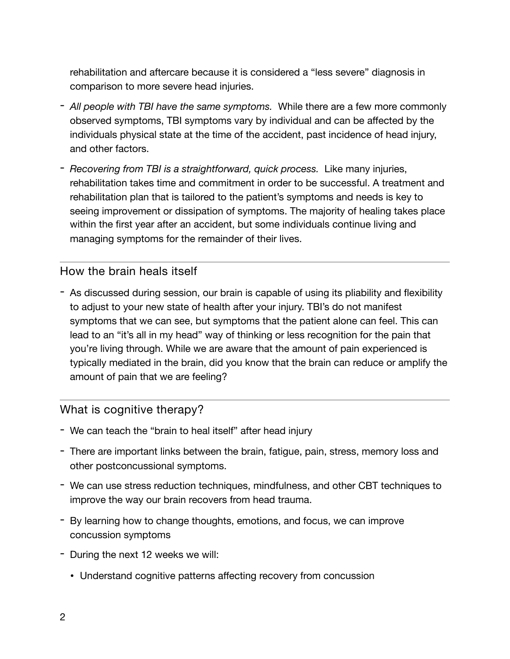rehabilitation and aftercare because it is considered a "less severe" diagnosis in comparison to more severe head injuries.

- *All people with TBI have the same symptoms.* While there are a few more commonly observed symptoms, TBI symptoms vary by individual and can be affected by the individuals physical state at the time of the accident, past incidence of head injury, and other factors.
- *Recovering from TBI is a straightforward, quick process.* Like many injuries, rehabilitation takes time and commitment in order to be successful. A treatment and rehabilitation plan that is tailored to the patient's symptoms and needs is key to seeing improvement or dissipation of symptoms. The majority of healing takes place within the first year after an accident, but some individuals continue living and managing symptoms for the remainder of their lives.

#### How the brain heals itself

- As discussed during session, our brain is capable of using its pliability and flexibility to adjust to your new state of health after your injury. TBI's do not manifest symptoms that we can see, but symptoms that the patient alone can feel. This can lead to an "it's all in my head" way of thinking or less recognition for the pain that you're living through. While we are aware that the amount of pain experienced is typically mediated in the brain, did you know that the brain can reduce or amplify the amount of pain that we are feeling?

#### What is cognitive therapy?

- We can teach the "brain to heal itself" after head injury
- There are important links between the brain, fatigue, pain, stress, memory loss and other postconcussional symptoms.
- We can use stress reduction techniques, mindfulness, and other CBT techniques to improve the way our brain recovers from head trauma.
- By learning how to change thoughts, emotions, and focus, we can improve concussion symptoms
- During the next 12 weeks we will:
	- Understand cognitive patterns affecting recovery from concussion